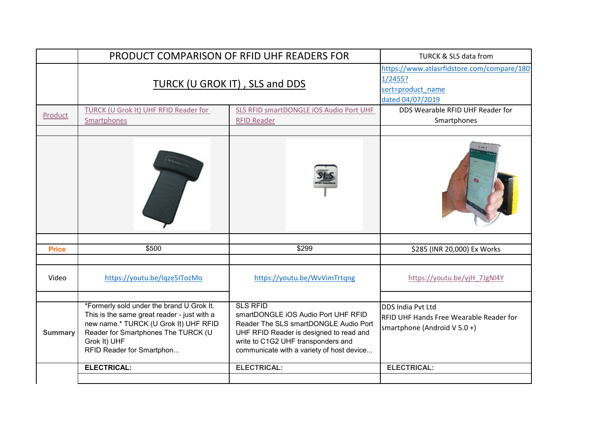|                | PRODUCT COMPARISON OF RFID UHF READERS FOR                                                                                                                                                                            | <b>TURCK &amp; SLS data from</b>                                                                                                                                                                                              |                                                                                                       |
|----------------|-----------------------------------------------------------------------------------------------------------------------------------------------------------------------------------------------------------------------|-------------------------------------------------------------------------------------------------------------------------------------------------------------------------------------------------------------------------------|-------------------------------------------------------------------------------------------------------|
|                | TURCK (U GROK IT), SLS and DDS                                                                                                                                                                                        |                                                                                                                                                                                                                               | https://www.atlasrfidstore.com/compare/180<br>1/2455?<br>sort=product_name<br>dated 04/07/2019        |
| Product        | TURCK (U Grok It) UHF RFID Reader for<br>Smartphones                                                                                                                                                                  | SLS RFID smartDONGLE IOS Audio Port UHF<br><b>RFID Reader</b>                                                                                                                                                                 | DDS Wearable RFID UHF Reader for<br>Smartphones                                                       |
|                |                                                                                                                                                                                                                       |                                                                                                                                                                                                                               |                                                                                                       |
| <b>Price</b>   | \$500                                                                                                                                                                                                                 | \$299                                                                                                                                                                                                                         | \$285 (INR 20,000) Ex Works                                                                           |
| Video          | https://youtu.be/Iqze5ITozMo                                                                                                                                                                                          | https://youtu.be/WvVimTrtqng                                                                                                                                                                                                  | https://youtu.be/yjH 7JgNl4Y                                                                          |
| <b>Summary</b> | *Formerly sold under the brand U Grok It.<br>This is the same great reader - just with a<br>new name.* TURCK (U Grok It) UHF RFID<br>Reader for Smartphones The TURCK (U<br>Grok It) UHF<br>RFID Reader for Smartphon | <b>SLS RFID</b><br>smartDONGLE iOS Audio Port UHF RFID<br>Reader The SLS smartDONGLE Audio Port<br>UHF RFID Reader is designed to read and<br>write to C1G2 UHF transponders and<br>communicate with a variety of host device | DDS India Pvt Ltd<br><b>REID UHF Hands Free Wearable Reader for</b><br>smartphone (Android $V$ 5.0 +) |
|                | <b>ELECTRICAL:</b>                                                                                                                                                                                                    | <b>ELECTRICAL:</b>                                                                                                                                                                                                            | <b>ELECTRICAL:</b>                                                                                    |
|                |                                                                                                                                                                                                                       |                                                                                                                                                                                                                               |                                                                                                       |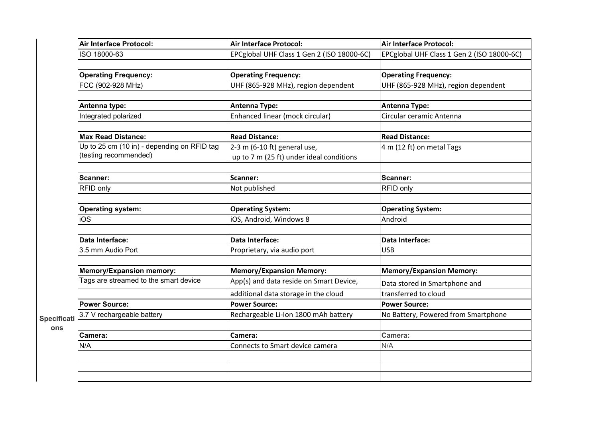|                    | Air Interface Protocol:                     | <b>Air Interface Protocol:</b>             | Air Interface Protocol:                    |
|--------------------|---------------------------------------------|--------------------------------------------|--------------------------------------------|
|                    | ISO 18000-63                                | EPCglobal UHF Class 1 Gen 2 (ISO 18000-6C) | EPCglobal UHF Class 1 Gen 2 (ISO 18000-6C) |
|                    |                                             |                                            |                                            |
|                    | <b>Operating Frequency:</b>                 | <b>Operating Frequency:</b>                | <b>Operating Frequency:</b>                |
|                    | FCC (902-928 MHz)                           | UHF (865-928 MHz), region dependent        | UHF (865-928 MHz), region dependent        |
|                    |                                             |                                            |                                            |
|                    | Antenna type:                               | <b>Antenna Type:</b>                       | <b>Antenna Type:</b>                       |
|                    | Integrated polarized                        | Enhanced linear (mock circular)            | Circular ceramic Antenna                   |
|                    |                                             |                                            |                                            |
|                    | <b>Max Read Distance:</b>                   | <b>Read Distance:</b>                      | <b>Read Distance:</b>                      |
|                    | Up to 25 cm (10 in) - depending on RFID tag | $2-3$ m (6-10 ft) general use,             | 4 m (12 ft) on metal Tags                  |
|                    | (testing recommended)                       | up to 7 m (25 ft) under ideal conditions   |                                            |
|                    |                                             |                                            |                                            |
|                    | Scanner:                                    | Scanner:                                   | Scanner:                                   |
|                    | RFID only                                   | Not published                              | RFID only                                  |
|                    |                                             |                                            |                                            |
|                    | <b>Operating system:</b>                    | <b>Operating System:</b>                   | <b>Operating System:</b>                   |
|                    | iOS                                         | iOS, Android, Windows 8                    | Android                                    |
|                    |                                             |                                            |                                            |
|                    | Data Interface:                             | Data Interface:                            | Data Interface:                            |
|                    | 3.5 mm Audio Port                           | Proprietary, via audio port                | <b>USB</b>                                 |
|                    |                                             |                                            |                                            |
|                    | <b>Memory/Expansion memory:</b>             | <b>Memory/Expansion Memory:</b>            | <b>Memory/Expansion Memory:</b>            |
|                    | Tags are streamed to the smart device       | App(s) and data reside on Smart Device,    | Data stored in Smartphone and              |
|                    |                                             | additional data storage in the cloud       | transferred to cloud                       |
|                    | <b>Power Source:</b>                        | <b>Power Source:</b>                       | <b>Power Source:</b>                       |
| <b>Specificati</b> | 3.7 V rechargeable battery                  | Rechargeable Li-Ion 1800 mAh battery       | No Battery, Powered from Smartphone        |
| ons                |                                             |                                            |                                            |
|                    | Camera:                                     | Camera:                                    | Camera:                                    |
|                    | N/A                                         | Connects to Smart device camera            | N/A                                        |
|                    |                                             |                                            |                                            |
|                    |                                             |                                            |                                            |
|                    |                                             |                                            |                                            |